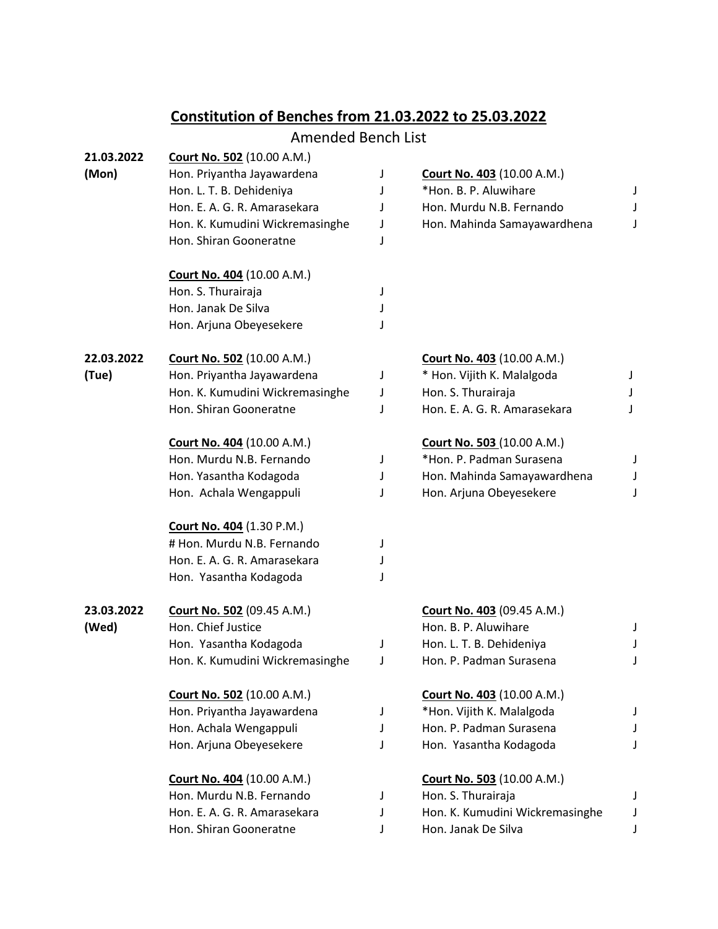## **Constitution of Benches from 21.03.2022 to 25.03.2022**

## Amended Bench List

| 21.03.2022 | <b>Court No. 502</b> (10.00 A.M.) |   |                                   |   |
|------------|-----------------------------------|---|-----------------------------------|---|
| (Mon)      | Hon. Priyantha Jayawardena        | J | <b>Court No. 403 (10.00 A.M.)</b> |   |
|            | Hon. L. T. B. Dehideniya          | J | *Hon. B. P. Aluwihare             | J |
|            | Hon. E. A. G. R. Amarasekara      | J | Hon. Murdu N.B. Fernando          | J |
|            | Hon. K. Kumudini Wickremasinghe   | J | Hon. Mahinda Samayawardhena       | J |
|            | Hon. Shiran Gooneratne            | J |                                   |   |
|            | <b>Court No. 404 (10.00 A.M.)</b> |   |                                   |   |
|            | Hon. S. Thurairaja                | J |                                   |   |
|            | Hon. Janak De Silva               | J |                                   |   |
|            | Hon. Arjuna Obeyesekere           |   |                                   |   |
| 22.03.2022 | <b>Court No. 502 (10.00 A.M.)</b> |   | <b>Court No. 403 (10.00 A.M.)</b> |   |
| (Tue)      | Hon. Priyantha Jayawardena        | J | * Hon. Vijith K. Malalgoda        | J |
|            | Hon. K. Kumudini Wickremasinghe   | J | Hon. S. Thurairaja                |   |
|            | Hon. Shiran Gooneratne            | J | Hon. E. A. G. R. Amarasekara      | J |
|            | <b>Court No. 404 (10.00 A.M.)</b> |   | <b>Court No. 503 (10.00 A.M.)</b> |   |
|            | Hon. Murdu N.B. Fernando          | J | *Hon. P. Padman Surasena          | J |
|            | Hon. Yasantha Kodagoda            | J | Hon. Mahinda Samayawardhena       | J |
|            | Hon. Achala Wengappuli            | J | Hon. Arjuna Obeyesekere           | J |
|            | <b>Court No. 404 (1.30 P.M.)</b>  |   |                                   |   |
|            | # Hon. Murdu N.B. Fernando        | J |                                   |   |
|            | Hon. E. A. G. R. Amarasekara      | J |                                   |   |
|            | Hon. Yasantha Kodagoda            | J |                                   |   |
| 23.03.2022 | <b>Court No. 502 (09.45 A.M.)</b> |   | <b>Court No. 403 (09.45 A.M.)</b> |   |
| (Wed)      | Hon. Chief Justice                |   | Hon. B. P. Aluwihare              | J |
|            | Hon. Yasantha Kodagoda            | J | Hon. L. T. B. Dehideniya          | J |
|            | Hon. K. Kumudini Wickremasinghe   | J | Hon. P. Padman Surasena           | J |
|            | <b>Court No. 502</b> (10.00 A.M.) |   | Court No. 403 (10.00 A.M.)        |   |
|            | Hon. Priyantha Jayawardena        | J | *Hon. Vijith K. Malalgoda         | J |
|            | Hon. Achala Wengappuli            | J | Hon. P. Padman Surasena           |   |
|            | Hon. Arjuna Obeyesekere           | J | Hon. Yasantha Kodagoda            | J |
|            | <b>Court No. 404 (10.00 A.M.)</b> |   | <b>Court No. 503 (10.00 A.M.)</b> |   |
|            | Hon. Murdu N.B. Fernando          | J | Hon. S. Thurairaja                | J |
|            | Hon. E. A. G. R. Amarasekara      |   | Hon. K. Kumudini Wickremasinghe   | J |
|            | Hon. Shiran Gooneratne            | J | Hon. Janak De Silva               | J |